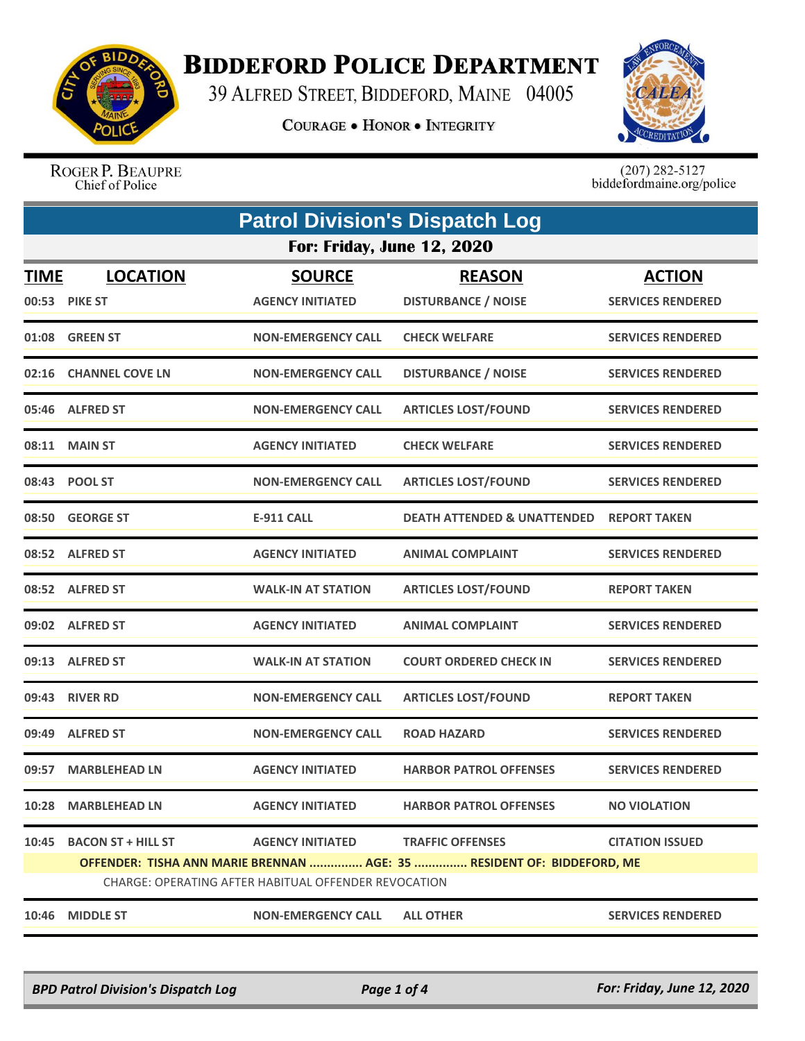

## **BIDDEFORD POLICE DEPARTMENT**

39 ALFRED STREET, BIDDEFORD, MAINE 04005

**COURAGE . HONOR . INTEGRITY** 



ROGER P. BEAUPRE Chief of Police

 $(207)$  282-5127<br>biddefordmaine.org/police

| <b>Patrol Division's Dispatch Log</b> |                                                                                                                                |                           |                                        |                          |  |  |
|---------------------------------------|--------------------------------------------------------------------------------------------------------------------------------|---------------------------|----------------------------------------|--------------------------|--|--|
|                                       | <b>For: Friday, June 12, 2020</b>                                                                                              |                           |                                        |                          |  |  |
| <b>TIME</b>                           | <b>LOCATION</b>                                                                                                                | <b>SOURCE</b>             | <b>REASON</b>                          | <b>ACTION</b>            |  |  |
|                                       | 00:53 PIKE ST                                                                                                                  | <b>AGENCY INITIATED</b>   | <b>DISTURBANCE / NOISE</b>             | <b>SERVICES RENDERED</b> |  |  |
|                                       | 01:08 GREEN ST                                                                                                                 | <b>NON-EMERGENCY CALL</b> | <b>CHECK WELFARE</b>                   | <b>SERVICES RENDERED</b> |  |  |
| 02:16                                 | <b>CHANNEL COVE LN</b>                                                                                                         | <b>NON-EMERGENCY CALL</b> | <b>DISTURBANCE / NOISE</b>             | <b>SERVICES RENDERED</b> |  |  |
|                                       | 05:46 ALFRED ST                                                                                                                | <b>NON-EMERGENCY CALL</b> | <b>ARTICLES LOST/FOUND</b>             | <b>SERVICES RENDERED</b> |  |  |
| 08:11                                 | <b>MAIN ST</b>                                                                                                                 | <b>AGENCY INITIATED</b>   | <b>CHECK WELFARE</b>                   | <b>SERVICES RENDERED</b> |  |  |
|                                       | 08:43 POOL ST                                                                                                                  | <b>NON-EMERGENCY CALL</b> | <b>ARTICLES LOST/FOUND</b>             | <b>SERVICES RENDERED</b> |  |  |
|                                       | 08:50 GEORGE ST                                                                                                                | <b>E-911 CALL</b>         | <b>DEATH ATTENDED &amp; UNATTENDED</b> | <b>REPORT TAKEN</b>      |  |  |
|                                       | 08:52 ALFRED ST                                                                                                                | <b>AGENCY INITIATED</b>   | <b>ANIMAL COMPLAINT</b>                | <b>SERVICES RENDERED</b> |  |  |
|                                       | 08:52 ALFRED ST                                                                                                                | <b>WALK-IN AT STATION</b> | <b>ARTICLES LOST/FOUND</b>             | <b>REPORT TAKEN</b>      |  |  |
|                                       | 09:02 ALFRED ST                                                                                                                | <b>AGENCY INITIATED</b>   | <b>ANIMAL COMPLAINT</b>                | <b>SERVICES RENDERED</b> |  |  |
|                                       | 09:13 ALFRED ST                                                                                                                | <b>WALK-IN AT STATION</b> | <b>COURT ORDERED CHECK IN</b>          | <b>SERVICES RENDERED</b> |  |  |
| 09:43                                 | <b>RIVER RD</b>                                                                                                                | <b>NON-EMERGENCY CALL</b> | <b>ARTICLES LOST/FOUND</b>             | <b>REPORT TAKEN</b>      |  |  |
| 09:49                                 | <b>ALFRED ST</b>                                                                                                               | <b>NON-EMERGENCY CALL</b> | <b>ROAD HAZARD</b>                     | <b>SERVICES RENDERED</b> |  |  |
| 09:57                                 | <b>MARBLEHEAD LN</b>                                                                                                           | <b>AGENCY INITIATED</b>   | <b>HARBOR PATROL OFFENSES</b>          | <b>SERVICES RENDERED</b> |  |  |
|                                       | 10:28 MARBLEHEAD LN                                                                                                            | <b>AGENCY INITIATED</b>   | <b>HARBOR PATROL OFFENSES</b>          | <b>NO VIOLATION</b>      |  |  |
|                                       | 10:45 BACON ST + HILL ST                                                                                                       | <b>AGENCY INITIATED</b>   | <b>TRAFFIC OFFENSES</b>                | <b>CITATION ISSUED</b>   |  |  |
|                                       | OFFENDER: TISHA ANN MARIE BRENNAN  AGE: 35  RESIDENT OF: BIDDEFORD, ME<br>CHARGE: OPERATING AFTER HABITUAL OFFENDER REVOCATION |                           |                                        |                          |  |  |
|                                       | 10:46 MIDDLE ST                                                                                                                | <b>NON-EMERGENCY CALL</b> | <b>ALL OTHER</b>                       | <b>SERVICES RENDERED</b> |  |  |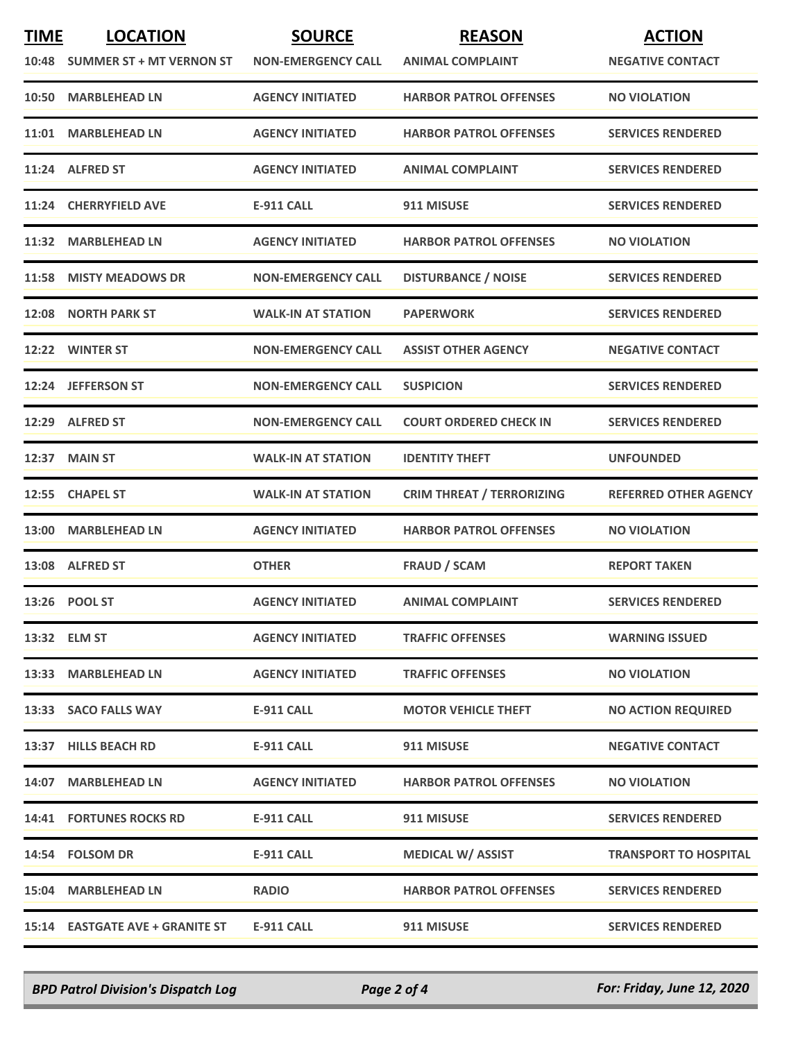| <b>TIME</b> | <b>LOCATION</b><br>10:48 SUMMER ST + MT VERNON ST | <b>SOURCE</b><br><b>NON-EMERGENCY CALL</b> | <b>REASON</b><br><b>ANIMAL COMPLAINT</b> | <b>ACTION</b><br><b>NEGATIVE CONTACT</b> |
|-------------|---------------------------------------------------|--------------------------------------------|------------------------------------------|------------------------------------------|
|             | 10:50 MARBLEHEAD LN                               | <b>AGENCY INITIATED</b>                    | <b>HARBOR PATROL OFFENSES</b>            | <b>NO VIOLATION</b>                      |
|             | 11:01 MARBLEHEAD LN                               | <b>AGENCY INITIATED</b>                    | <b>HARBOR PATROL OFFENSES</b>            | <b>SERVICES RENDERED</b>                 |
|             | 11:24 ALFRED ST                                   | <b>AGENCY INITIATED</b>                    | <b>ANIMAL COMPLAINT</b>                  | <b>SERVICES RENDERED</b>                 |
|             | 11:24 CHERRYFIELD AVE                             | <b>E-911 CALL</b>                          | 911 MISUSE                               | <b>SERVICES RENDERED</b>                 |
| 11:32       | <b>MARBLEHEAD LN</b>                              | <b>AGENCY INITIATED</b>                    | <b>HARBOR PATROL OFFENSES</b>            | <b>NO VIOLATION</b>                      |
|             | 11:58 MISTY MEADOWS DR                            | <b>NON-EMERGENCY CALL</b>                  | <b>DISTURBANCE / NOISE</b>               | <b>SERVICES RENDERED</b>                 |
| 12:08       | <b>NORTH PARK ST</b>                              | <b>WALK-IN AT STATION</b>                  | <b>PAPERWORK</b>                         | <b>SERVICES RENDERED</b>                 |
|             | 12:22 WINTER ST                                   | <b>NON-EMERGENCY CALL</b>                  | <b>ASSIST OTHER AGENCY</b>               | <b>NEGATIVE CONTACT</b>                  |
|             | 12:24 JEFFERSON ST                                | <b>NON-EMERGENCY CALL</b>                  | <b>SUSPICION</b>                         | <b>SERVICES RENDERED</b>                 |
|             | 12:29 ALFRED ST                                   | <b>NON-EMERGENCY CALL</b>                  | <b>COURT ORDERED CHECK IN</b>            | <b>SERVICES RENDERED</b>                 |
|             | 12:37 MAIN ST                                     | <b>WALK-IN AT STATION</b>                  | <b>IDENTITY THEFT</b>                    | <b>UNFOUNDED</b>                         |
| 12:55       | <b>CHAPEL ST</b>                                  | <b>WALK-IN AT STATION</b>                  | <b>CRIM THREAT / TERRORIZING</b>         | <b>REFERRED OTHER AGENCY</b>             |
|             | 13:00 MARBLEHEAD LN                               | <b>AGENCY INITIATED</b>                    | <b>HARBOR PATROL OFFENSES</b>            | <b>NO VIOLATION</b>                      |
|             | 13:08 ALFRED ST                                   | <b>OTHER</b>                               | <b>FRAUD / SCAM</b>                      | <b>REPORT TAKEN</b>                      |
|             | 13:26 POOL ST                                     | <b>AGENCY INITIATED</b>                    | <b>ANIMAL COMPLAINT</b>                  | <b>SERVICES RENDERED</b>                 |
|             | 13:32 ELM ST                                      | <b>AGENCY INITIATED</b>                    | <b>TRAFFIC OFFENSES</b>                  | <b>WARNING ISSUED</b>                    |
|             | 13:33 MARBLEHEAD LN                               | <b>AGENCY INITIATED</b>                    | <b>TRAFFIC OFFENSES</b>                  | <b>NO VIOLATION</b>                      |
|             | 13:33 SACO FALLS WAY                              | E-911 CALL                                 | <b>MOTOR VEHICLE THEFT</b>               | <b>NO ACTION REQUIRED</b>                |
|             | 13:37 HILLS BEACH RD                              | E-911 CALL                                 | 911 MISUSE                               | <b>NEGATIVE CONTACT</b>                  |
|             | 14:07 MARBLEHEAD LN                               | <b>AGENCY INITIATED</b>                    | <b>HARBOR PATROL OFFENSES</b>            | <b>NO VIOLATION</b>                      |
|             | <b>14:41 FORTUNES ROCKS RD</b>                    | <b>E-911 CALL</b>                          | 911 MISUSE                               | <b>SERVICES RENDERED</b>                 |
|             | 14:54 FOLSOM DR                                   | <b>E-911 CALL</b>                          | <b>MEDICAL W/ ASSIST</b>                 | <b>TRANSPORT TO HOSPITAL</b>             |
|             | 15:04 MARBLEHEAD LN                               | <b>RADIO</b>                               | <b>HARBOR PATROL OFFENSES</b>            | <b>SERVICES RENDERED</b>                 |
|             | 15:14 EASTGATE AVE + GRANITE ST                   | <b>E-911 CALL</b>                          | 911 MISUSE                               | <b>SERVICES RENDERED</b>                 |

*BPD Patrol Division's Dispatch Log Page 2 of 4 For: Friday, June 12, 2020*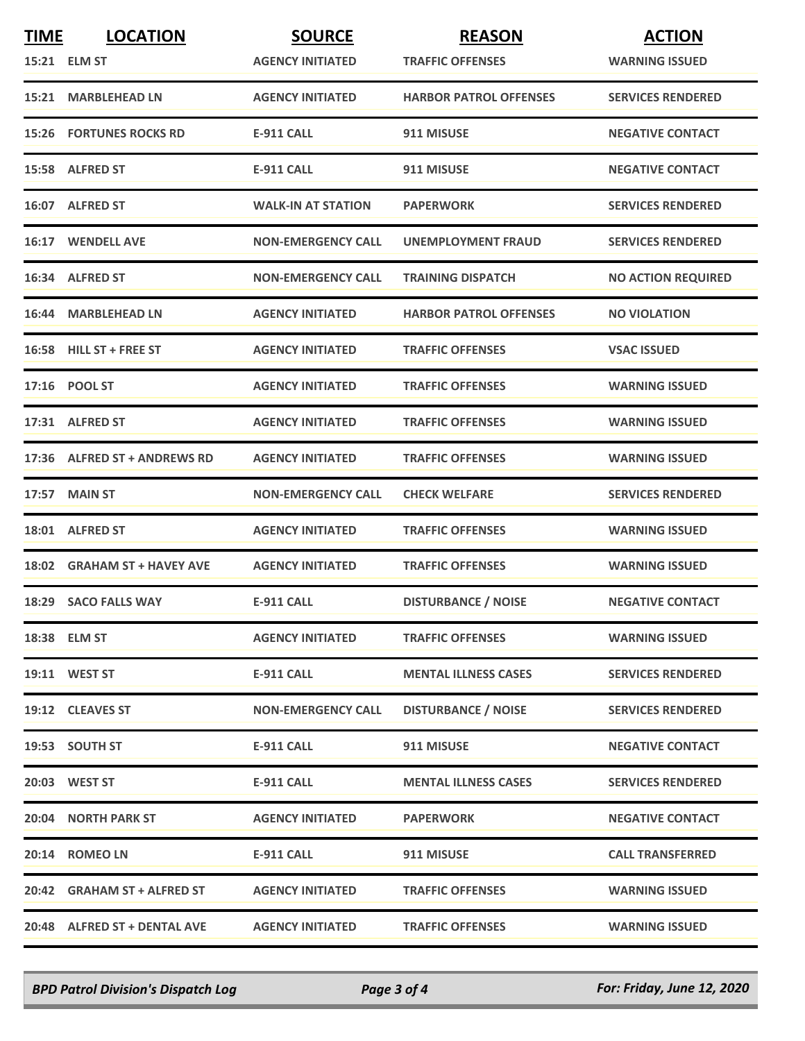| <b>TIME</b> | <b>LOCATION</b><br>15:21 ELM ST | <b>SOURCE</b><br><b>AGENCY INITIATED</b> | <b>REASON</b><br><b>TRAFFIC OFFENSES</b> | <b>ACTION</b><br><b>WARNING ISSUED</b> |
|-------------|---------------------------------|------------------------------------------|------------------------------------------|----------------------------------------|
|             | 15:21 MARBLEHEAD LN             | <b>AGENCY INITIATED</b>                  | <b>HARBOR PATROL OFFENSES</b>            | <b>SERVICES RENDERED</b>               |
|             | <b>15:26 FORTUNES ROCKS RD</b>  | <b>E-911 CALL</b>                        | 911 MISUSE                               | <b>NEGATIVE CONTACT</b>                |
|             | 15:58 ALFRED ST                 | E-911 CALL                               | 911 MISUSE                               | <b>NEGATIVE CONTACT</b>                |
|             | 16:07 ALFRED ST                 | <b>WALK-IN AT STATION</b>                | <b>PAPERWORK</b>                         | <b>SERVICES RENDERED</b>               |
|             | 16:17 WENDELL AVE               | <b>NON-EMERGENCY CALL</b>                | UNEMPLOYMENT FRAUD                       | <b>SERVICES RENDERED</b>               |
|             | 16:34 ALFRED ST                 | <b>NON-EMERGENCY CALL</b>                | <b>TRAINING DISPATCH</b>                 | <b>NO ACTION REQUIRED</b>              |
|             | 16:44 MARBLEHEAD LN             | <b>AGENCY INITIATED</b>                  | <b>HARBOR PATROL OFFENSES</b>            | <b>NO VIOLATION</b>                    |
|             | 16:58 HILL ST + FREE ST         | <b>AGENCY INITIATED</b>                  | <b>TRAFFIC OFFENSES</b>                  | <b>VSAC ISSUED</b>                     |
|             | 17:16 POOL ST                   | <b>AGENCY INITIATED</b>                  | <b>TRAFFIC OFFENSES</b>                  | <b>WARNING ISSUED</b>                  |
|             | 17:31 ALFRED ST                 | <b>AGENCY INITIATED</b>                  | <b>TRAFFIC OFFENSES</b>                  | <b>WARNING ISSUED</b>                  |
|             | 17:36 ALFRED ST + ANDREWS RD    | <b>AGENCY INITIATED</b>                  | <b>TRAFFIC OFFENSES</b>                  | <b>WARNING ISSUED</b>                  |
| 17:57       | <b>MAIN ST</b>                  | <b>NON-EMERGENCY CALL</b>                | <b>CHECK WELFARE</b>                     | <b>SERVICES RENDERED</b>               |
|             | 18:01 ALFRED ST                 | <b>AGENCY INITIATED</b>                  | <b>TRAFFIC OFFENSES</b>                  | <b>WARNING ISSUED</b>                  |
|             | 18:02 GRAHAM ST + HAVEY AVE     | <b>AGENCY INITIATED</b>                  | <b>TRAFFIC OFFENSES</b>                  | <b>WARNING ISSUED</b>                  |
|             | 18:29 SACO FALLS WAY            | <b>E-911 CALL</b>                        | <b>DISTURBANCE / NOISE</b>               | <b>NEGATIVE CONTACT</b>                |
|             | 18:38 ELM ST                    | <b>AGENCY INITIATED</b>                  | <b>TRAFFIC OFFENSES</b>                  | <b>WARNING ISSUED</b>                  |
|             | <b>19:11 WEST ST</b>            | E-911 CALL                               | <b>MENTAL ILLNESS CASES</b>              | <b>SERVICES RENDERED</b>               |
|             | 19:12 CLEAVES ST                | <b>NON-EMERGENCY CALL</b>                | <b>DISTURBANCE / NOISE</b>               | <b>SERVICES RENDERED</b>               |
|             | 19:53 SOUTH ST                  | E-911 CALL                               | 911 MISUSE                               | <b>NEGATIVE CONTACT</b>                |
|             | 20:03 WEST ST                   | E-911 CALL                               | <b>MENTAL ILLNESS CASES</b>              | <b>SERVICES RENDERED</b>               |
|             | <b>20:04 NORTH PARK ST</b>      | <b>AGENCY INITIATED</b>                  | <b>PAPERWORK</b>                         | <b>NEGATIVE CONTACT</b>                |
|             | 20:14 ROMEO LN                  | E-911 CALL                               | 911 MISUSE                               | <b>CALL TRANSFERRED</b>                |
|             | 20:42 GRAHAM ST + ALFRED ST     | <b>AGENCY INITIATED</b>                  | <b>TRAFFIC OFFENSES</b>                  | <b>WARNING ISSUED</b>                  |
|             | 20:48 ALFRED ST + DENTAL AVE    | <b>AGENCY INITIATED</b>                  | <b>TRAFFIC OFFENSES</b>                  | <b>WARNING ISSUED</b>                  |

*BPD Patrol Division's Dispatch Log Page 3 of 4 For: Friday, June 12, 2020*